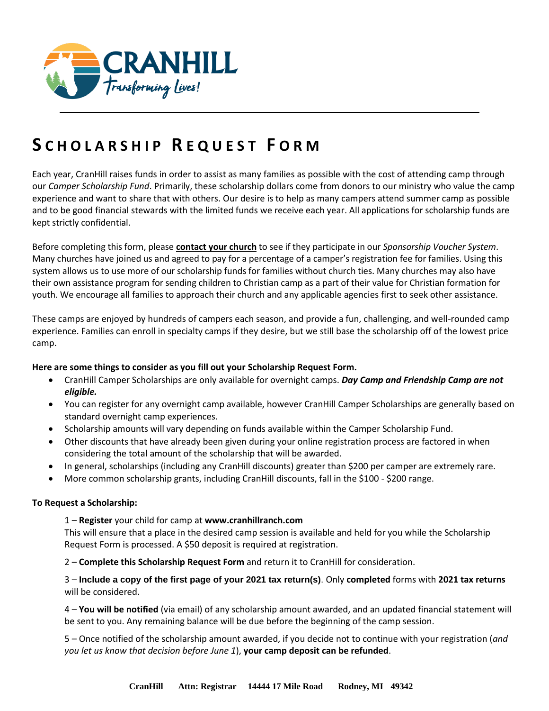

# **S C H O L A R S H I P R E Q U E S T F O R M**

Each year, CranHill raises funds in order to assist as many families as possible with the cost of attending camp through our *Camper Scholarship Fund*. Primarily, these scholarship dollars come from donors to our ministry who value the camp experience and want to share that with others. Our desire is to help as many campers attend summer camp as possible and to be good financial stewards with the limited funds we receive each year. All applications for scholarship funds are kept strictly confidential.

Before completing this form, please **contact your church** to see if they participate in our *Sponsorship Voucher System*. Many churches have joined us and agreed to pay for a percentage of a camper's registration fee for families. Using this system allows us to use more of our scholarship funds for families without church ties. Many churches may also have their own assistance program for sending children to Christian camp as a part of their value for Christian formation for youth. We encourage all families to approach their church and any applicable agencies first to seek other assistance.

These camps are enjoyed by hundreds of campers each season, and provide a fun, challenging, and well-rounded camp experience. Families can enroll in specialty camps if they desire, but we still base the scholarship off of the lowest price camp.

## **Here are some things to consider as you fill out your Scholarship Request Form.**

- CranHill Camper Scholarships are only available for overnight camps. *Day Camp and Friendship Camp are not eligible.*
- You can register for any overnight camp available, however CranHill Camper Scholarships are generally based on standard overnight camp experiences.
- Scholarship amounts will vary depending on funds available within the Camper Scholarship Fund.
- Other discounts that have already been given during your online registration process are factored in when considering the total amount of the scholarship that will be awarded.
- In general, scholarships (including any CranHill discounts) greater than \$200 per camper are extremely rare.
- More common scholarship grants, including CranHill discounts, fall in the \$100 \$200 range.

## **To Request a Scholarship:**

1 – **Register** your child for camp at **www.cranhillranch.com**

This will ensure that a place in the desired camp session is available and held for you while the Scholarship Request Form is processed. A \$50 deposit is required at registration.

2 – **Complete this Scholarship Request Form** and return it to CranHill for consideration.

3 – **Include a copy of the first page of your 2021 tax return(s)**. Only **completed** forms with **2021 tax returns** will be considered.

4 – **You will be notified** (via email) of any scholarship amount awarded, and an updated financial statement will be sent to you. Any remaining balance will be due before the beginning of the camp session.

5 – Once notified of the scholarship amount awarded, if you decide not to continue with your registration (*and you let us know that decision before June 1*), **your camp deposit can be refunded**.